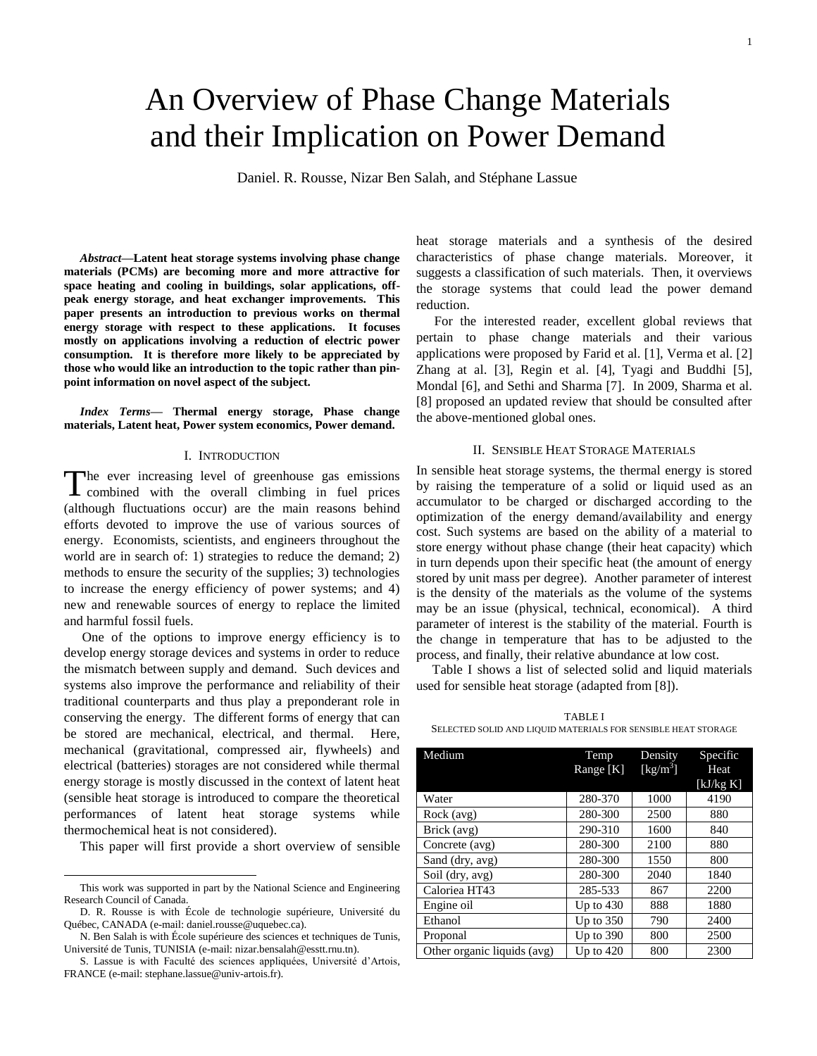# An Overview of Phase Change Materials and their Implication on Power Demand

Daniel. R. Rousse, Nizar Ben Salah, and Stéphane Lassue

*Abstract***—Latent heat storage systems involving phase change materials (PCMs) are becoming more and more attractive for space heating and cooling in buildings, solar applications, offpeak energy storage, and heat exchanger improvements. This paper presents an introduction to previous works on thermal energy storage with respect to these applications. It focuses mostly on applications involving a reduction of electric power consumption. It is therefore more likely to be appreciated by those who would like an introduction to the topic rather than pinpoint information on novel aspect of the subject.**

*Index Terms***— Thermal energy storage, Phase change materials, Latent heat, Power system economics, Power demand.**

## I. INTRODUCTION

The ever increasing level of greenhouse gas emissions<br>combined with the overall climbing in fuel prices combined with the overall climbing in fuel prices (although fluctuations occur) are the main reasons behind efforts devoted to improve the use of various sources of energy. Economists, scientists, and engineers throughout the world are in search of: 1) strategies to reduce the demand; 2) methods to ensure the security of the supplies; 3) technologies to increase the energy efficiency of power systems; and 4) new and renewable sources of energy to replace the limited and harmful fossil fuels.

One of the options to improve energy efficiency is to develop energy storage devices and systems in order to reduce the mismatch between supply and demand. Such devices and systems also improve the performance and reliability of their traditional counterparts and thus play a preponderant role in conserving the energy. The different forms of energy that can be stored are mechanical, electrical, and thermal. Here, mechanical (gravitational, compressed air, flywheels) and electrical (batteries) storages are not considered while thermal energy storage is mostly discussed in the context of latent heat (sensible heat storage is introduced to compare the theoretical performances of latent heat storage systems while thermochemical heat is not considered).

This paper will first provide a short overview of sensible

l

heat storage materials and a synthesis of the desired characteristics of phase change materials. Moreover, it suggests a classification of such materials. Then, it overviews the storage systems that could lead the power demand reduction.

For the interested reader, excellent global reviews that pertain to phase change materials and their various applications were proposed by Farid et al. [1], Verma et al. [2] Zhang at al. [3], Regin et al. [4], Tyagi and Buddhi [5], Mondal [6], and Sethi and Sharma [7]. In 2009, Sharma et al. [8] proposed an updated review that should be consulted after the above-mentioned global ones.

## II. SENSIBLE HEAT STORAGE MATERIALS

In sensible heat storage systems, the thermal energy is stored by raising the temperature of a solid or liquid used as an accumulator to be charged or discharged according to the optimization of the energy demand/availability and energy cost. Such systems are based on the ability of a material to store energy without phase change (their heat capacity) which in turn depends upon their specific heat (the amount of energy stored by unit mass per degree). Another parameter of interest is the density of the materials as the volume of the systems may be an issue (physical, technical, economical). A third parameter of interest is the stability of the material. Fourth is the change in temperature that has to be adjusted to the process, and finally, their relative abundance at low cost.

Table I shows a list of selected solid and liquid materials used for sensible heat storage (adapted from [8]).

TABLE I SELECTED SOLID AND LIQUID MATERIALS FOR SENSIBLE HEAT STORAGE

| Medium                      | Temp<br>Range [K] | Density<br>$[kg/m^3]$ | Specific<br>Heat<br>[ $kJ/kg K$ ] |
|-----------------------------|-------------------|-----------------------|-----------------------------------|
| Water                       | 280-370           | 1000                  | 4190                              |
| Rock (avg)                  | 280-300           | 2500                  | 880                               |
| Brick (avg)                 | 290-310           | 1600                  | 840                               |
| Concrete (avg)              | 280-300           | 2100                  | 880                               |
| Sand (dry, avg)             | 280-300           | 1550                  | 800                               |
| Soil (dry, avg)             | 280-300           | 2040                  | 1840                              |
| Caloriea HT43               | 285-533           | 867                   | 2200                              |
| Engine oil                  | Up to $430$       | 888                   | 1880                              |
| Ethanol                     | Up to $350$       | 790                   | 2400                              |
| Proponal                    | Up to $390$       | 800                   | 2500                              |
| Other organic liquids (avg) | Up to $420$       | 800                   | 2300                              |

This work was supported in part by the National Science and Engineering Research Council of Canada.

D. R. Rousse is with École de technologie supérieure, Université du Québec, CANADA (e-mail: daniel.rousse@uquebec.ca).

N. Ben Salah is with École supérieure des sciences et techniques de Tunis, Université de Tunis, TUNISIA (e-mail: nizar.bensalah@esstt.rnu.tn).

S. Lassue is with Faculté des sciences appliquées, Université d'Artois, FRANCE (e-mail: stephane.lassue@univ-artois.fr).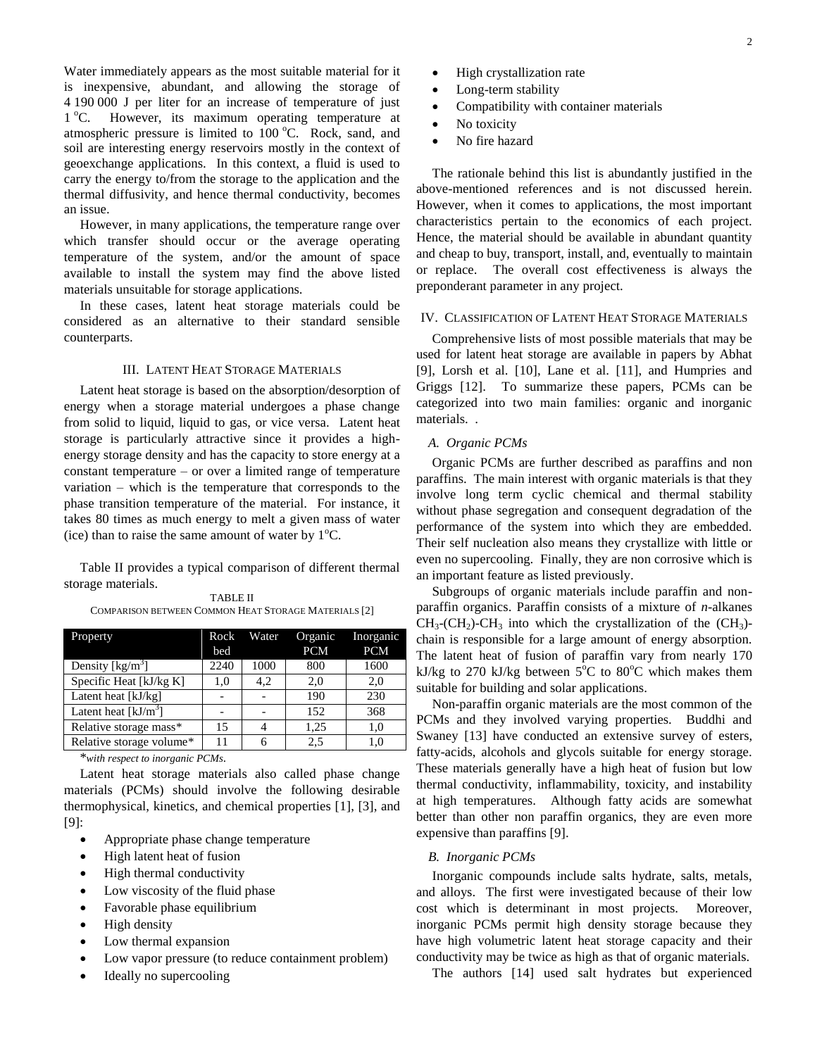Water immediately appears as the most suitable material for it is inexpensive, abundant, and allowing the storage of 4 190 000 J per liter for an increase of temperature of just  $1^{\circ}$ C. However, its maximum operating temperature at atmospheric pressure is limited to  $100^{\circ}$ C. Rock, sand, and soil are interesting energy reservoirs mostly in the context of geoexchange applications. In this context, a fluid is used to carry the energy to/from the storage to the application and the thermal diffusivity, and hence thermal conductivity, becomes an issue.

However, in many applications, the temperature range over which transfer should occur or the average operating temperature of the system, and/or the amount of space available to install the system may find the above listed materials unsuitable for storage applications.

In these cases, latent heat storage materials could be considered as an alternative to their standard sensible counterparts.

## III. LATENT HEAT STORAGE MATERIALS

Latent heat storage is based on the absorption/desorption of energy when a storage material undergoes a phase change from solid to liquid, liquid to gas, or vice versa. Latent heat storage is particularly attractive since it provides a highenergy storage density and has the capacity to store energy at a constant temperature – or over a limited range of temperature variation – which is the temperature that corresponds to the phase transition temperature of the material. For instance, it takes 80 times as much energy to melt a given mass of water (ice) than to raise the same amount of water by  $1^{\circ}C$ .

Table II provides a typical comparison of different thermal storage materials.

TABLE II COMPARISON BETWEEN COMMON HEAT STORAGE MATERIALS [2]

| Property                              | Rock<br>bed | Water | Organic<br><b>PCM</b> | Inorganic<br><b>PCM</b> |
|---------------------------------------|-------------|-------|-----------------------|-------------------------|
| Density $\lceil \text{kg/m}^3 \rceil$ | 2240        | 1000  | 800                   | 1600                    |
| Specific Heat [kJ/kg K]               | 1.0         | 4.2   | 2,0                   | 2,0                     |
| Latent heat [kJ/kg]                   |             |       | 190                   | 230                     |
| Latent heat $[kJ/m3]$                 |             |       | 152                   | 368                     |
| Relative storage mass*                | 15          |       | 1.25                  | 1.0                     |
| Relative storage volume*              | 11          |       | 2.5                   | 1.0                     |

\**with respect to inorganic PCMs*.

Latent heat storage materials also called phase change materials (PCMs) should involve the following desirable thermophysical, kinetics, and chemical properties [1], [3], and [9]:

- Appropriate phase change temperature
- High latent heat of fusion
- High thermal conductivity
- Low viscosity of the fluid phase
- Favorable phase equilibrium
- High density
- Low thermal expansion
- Low vapor pressure (to reduce containment problem)
- Ideally no supercooling
- High crystallization rate
- Long-term stability
- Compatibility with container materials
- No toxicity
- No fire hazard

The rationale behind this list is abundantly justified in the above-mentioned references and is not discussed herein. However, when it comes to applications, the most important characteristics pertain to the economics of each project. Hence, the material should be available in abundant quantity and cheap to buy, transport, install, and, eventually to maintain or replace. The overall cost effectiveness is always the preponderant parameter in any project.

## IV. CLASSIFICATION OF LATENT HEAT STORAGE MATERIALS

Comprehensive lists of most possible materials that may be used for latent heat storage are available in papers by Abhat [9], Lorsh et al. [10], Lane et al. [11], and Humpries and Griggs [12]. To summarize these papers, PCMs can be categorized into two main families: organic and inorganic materials. .

## *A. Organic PCMs*

Organic PCMs are further described as paraffins and non paraffins. The main interest with organic materials is that they involve long term cyclic chemical and thermal stability without phase segregation and consequent degradation of the performance of the system into which they are embedded. Their self nucleation also means they crystallize with little or even no supercooling. Finally, they are non corrosive which is an important feature as listed previously.

Subgroups of organic materials include paraffin and nonparaffin organics. Paraffin consists of a mixture of *n*-alkanes  $CH_3$ -(CH<sub>2</sub>)-CH<sub>3</sub> into which the crystallization of the (CH<sub>3</sub>)chain is responsible for a large amount of energy absorption. The latent heat of fusion of paraffin vary from nearly 170 kJ/kg to 270 kJ/kg between  $5^{\circ}$ C to 80 $^{\circ}$ C which makes them suitable for building and solar applications.

Non-paraffin organic materials are the most common of the PCMs and they involved varying properties. Buddhi and Swaney [13] have conducted an extensive survey of esters, fatty-acids, alcohols and glycols suitable for energy storage. These materials generally have a high heat of fusion but low thermal conductivity, inflammability, toxicity, and instability at high temperatures. Although fatty acids are somewhat better than other non paraffin organics, they are even more expensive than paraffins [9].

## *B. Inorganic PCMs*

Inorganic compounds include salts hydrate, salts, metals, and alloys. The first were investigated because of their low cost which is determinant in most projects. Moreover, inorganic PCMs permit high density storage because they have high volumetric latent heat storage capacity and their conductivity may be twice as high as that of organic materials.

The authors [14] used salt hydrates but experienced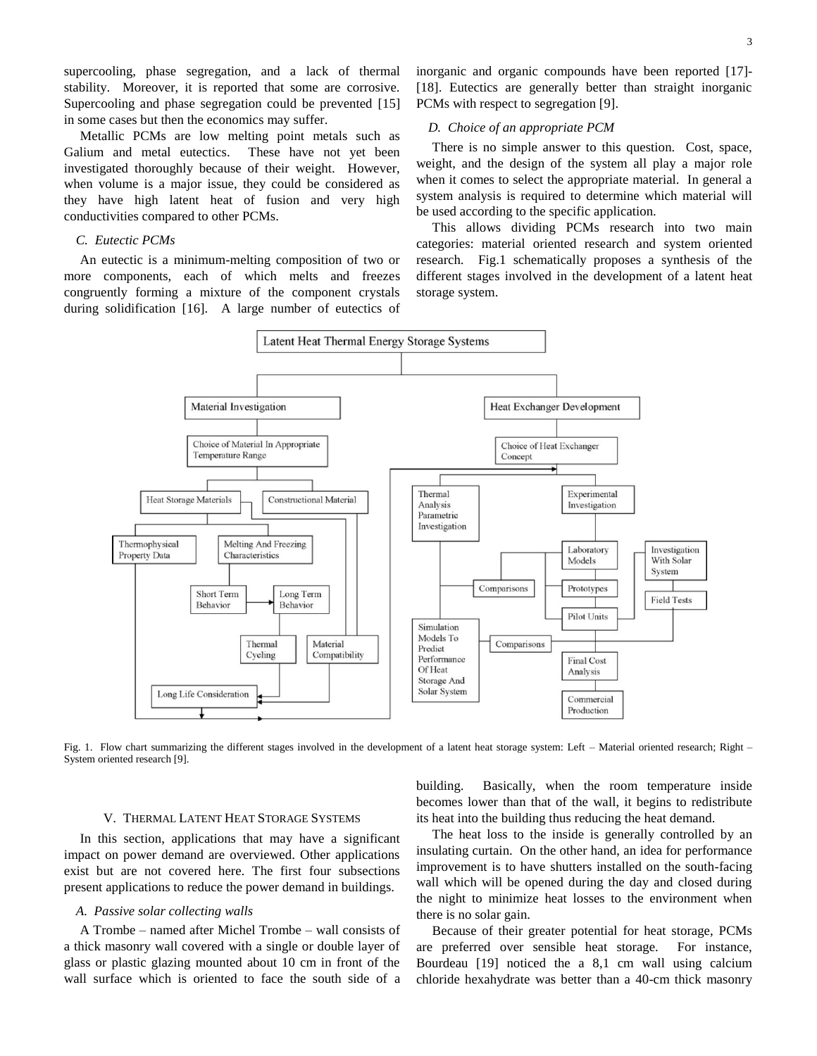supercooling, phase segregation, and a lack of thermal stability. Moreover, it is reported that some are corrosive. Supercooling and phase segregation could be prevented [15] in some cases but then the economics may suffer.

Metallic PCMs are low melting point metals such as Galium and metal eutectics. These have not yet been investigated thoroughly because of their weight. However, when volume is a major issue, they could be considered as they have high latent heat of fusion and very high conductivities compared to other PCMs.

# *C. Eutectic PCMs*

An eutectic is a minimum-melting composition of two or more components, each of which melts and freezes congruently forming a mixture of the component crystals during solidification [16]. A large number of eutectics of inorganic and organic compounds have been reported [17]- [18]. Eutectics are generally better than straight inorganic PCMs with respect to segregation [9].

## *D. Choice of an appropriate PCM*

There is no simple answer to this question. Cost, space, weight, and the design of the system all play a major role when it comes to select the appropriate material. In general a system analysis is required to determine which material will be used according to the specific application.

This allows dividing PCMs research into two main categories: material oriented research and system oriented research. Fig.1 schematically proposes a synthesis of the different stages involved in the development of a latent heat storage system.



Fig. 1. Flow chart summarizing the different stages involved in the development of a latent heat storage system: Left – Material oriented research; Right – System oriented research [9].

#### V. THERMAL LATENT HEAT STORAGE SYSTEMS

In this section, applications that may have a significant impact on power demand are overviewed. Other applications exist but are not covered here. The first four subsections present applications to reduce the power demand in buildings.

#### *A. Passive solar collecting walls*

A Trombe – named after Michel Trombe – wall consists of a thick masonry wall covered with a single or double layer of glass or plastic glazing mounted about 10 cm in front of the wall surface which is oriented to face the south side of a building. Basically, when the room temperature inside becomes lower than that of the wall, it begins to redistribute its heat into the building thus reducing the heat demand.

The heat loss to the inside is generally controlled by an insulating curtain. On the other hand, an idea for performance improvement is to have shutters installed on the south-facing wall which will be opened during the day and closed during the night to minimize heat losses to the environment when there is no solar gain.

Because of their greater potential for heat storage, PCMs are preferred over sensible heat storage. For instance, Bourdeau [19] noticed the a 8,1 cm wall using calcium chloride hexahydrate was better than a 40-cm thick masonry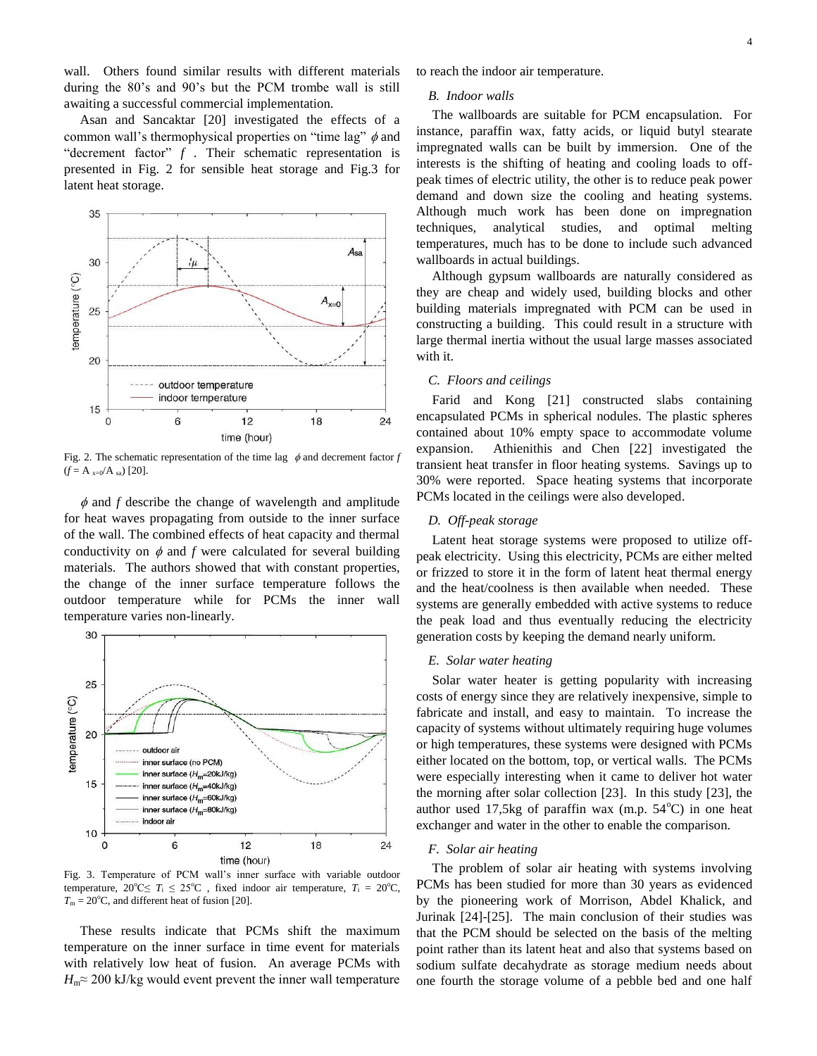wall. Others found similar results with different materials during the 80's and 90's but the PCM trombe wall is still awaiting a successful commercial implementation.

Asan and Sancaktar [20] investigated the effects of a common wall's thermophysical properties on "time lag"  $\phi$  and "decrement factor" *f* . Their schematic representation is presented in Fig. 2 for sensible heat storage and Fig.3 for latent heat storage.



Fig. 2. The schematic representation of the time lag  $\phi$  and decrement factor *f*  $(f = A_{x=0}/A_{sa})$  [20].

 $\phi$  and  $f$  describe the change of wavelength and amplitude for heat waves propagating from outside to the inner surface of the wall. The combined effects of heat capacity and thermal conductivity on  $\phi$  and  $f$  were calculated for several building materials. The authors showed that with constant properties, the change of the inner surface temperature follows the outdoor temperature while for PCMs the inner wall temperature varies non-linearly.



Fig. 3. Temperature of PCM wall's inner surface with variable outdoor temperature,  $20^{\circ}$ C $\leq T_i \leq 25^{\circ}$ C, fixed indoor air temperature,  $T_i = 20^{\circ}$ C,  $T_m = 20$ °C, and different heat of fusion [20].

These results indicate that PCMs shift the maximum temperature on the inner surface in time event for materials with relatively low heat of fusion. An average PCMs with  $H_m \approx 200$  kJ/kg would event prevent the inner wall temperature to reach the indoor air temperature.

# *B. Indoor walls*

The wallboards are suitable for PCM encapsulation. For instance, paraffin wax, fatty acids, or liquid butyl stearate impregnated walls can be built by immersion. One of the interests is the shifting of heating and cooling loads to offpeak times of electric utility, the other is to reduce peak power demand and down size the cooling and heating systems. Although much work has been done on impregnation techniques, analytical studies, and optimal melting temperatures, much has to be done to include such advanced wallboards in actual buildings.

Although gypsum wallboards are naturally considered as they are cheap and widely used, building blocks and other building materials impregnated with PCM can be used in constructing a building. This could result in a structure with large thermal inertia without the usual large masses associated with it.

# *C. Floors and ceilings*

Farid and Kong [21] constructed slabs containing encapsulated PCMs in spherical nodules. The plastic spheres contained about 10% empty space to accommodate volume expansion. Athienithis and Chen [22] investigated the transient heat transfer in floor heating systems. Savings up to 30% were reported. Space heating systems that incorporate PCMs located in the ceilings were also developed.

## *D. Off-peak storage*

Latent heat storage systems were proposed to utilize offpeak electricity. Using this electricity, PCMs are either melted or frizzed to store it in the form of latent heat thermal energy and the heat/coolness is then available when needed. These systems are generally embedded with active systems to reduce the peak load and thus eventually reducing the electricity generation costs by keeping the demand nearly uniform.

# *E. Solar water heating*

Solar water heater is getting popularity with increasing costs of energy since they are relatively inexpensive, simple to fabricate and install, and easy to maintain. To increase the capacity of systems without ultimately requiring huge volumes or high temperatures, these systems were designed with PCMs either located on the bottom, top, or vertical walls. The PCMs were especially interesting when it came to deliver hot water the morning after solar collection [23]. In this study [23], the author used 17,5kg of paraffin wax (m.p.  $54^{\circ}$ C) in one heat exchanger and water in the other to enable the comparison.

## *F. Solar air heating*

The problem of solar air heating with systems involving PCMs has been studied for more than 30 years as evidenced by the pioneering work of Morrison, Abdel Khalick, and Jurinak [24]-[25]. The main conclusion of their studies was that the PCM should be selected on the basis of the melting point rather than its latent heat and also that systems based on sodium sulfate decahydrate as storage medium needs about one fourth the storage volume of a pebble bed and one half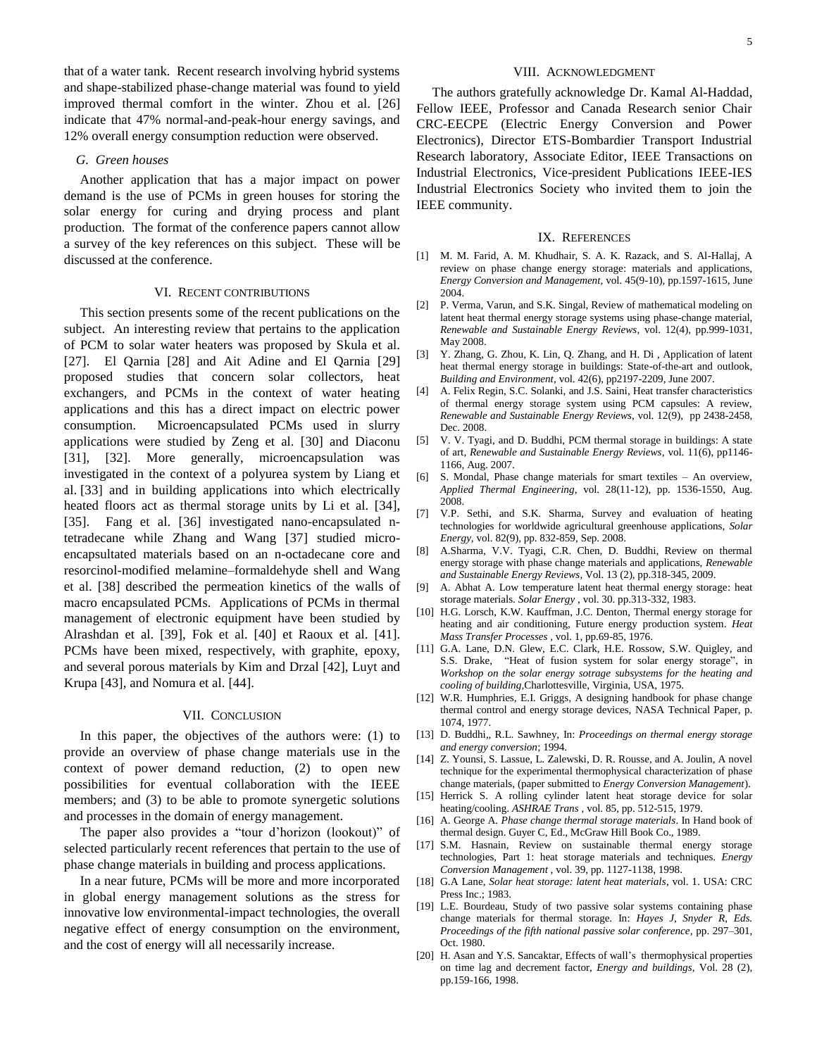that of a water tank. Recent research involving hybrid systems and shape-stabilized phase-change material was found to yield improved thermal comfort in the winter. Zhou et al. [26] indicate that 47% normal-and-peak-hour energy savings, and 12% overall energy consumption reduction were observed.

## *G. Green houses*

Another application that has a major impact on power demand is the use of PCMs in green houses for storing the solar energy for curing and drying process and plant production. The format of the conference papers cannot allow a survey of the key references on this subject. These will be discussed at the conference.

## VI. RECENT CONTRIBUTIONS

This section presents some of the recent publications on the subject. An interesting review that pertains to the application of PCM to solar water heaters was proposed by Skula et al. [27]. El Qarnia [28] and Ait Adine and El Qarnia [29] proposed studies that concern solar collectors, heat exchangers, and PCMs in the context of water heating applications and this has a direct impact on electric power consumption. Microencapsulated PCMs used in slurry applications were studied by Zeng et al. [30] and Diaconu [31], [32]. More generally, microencapsulation was investigated in the context of a polyurea system by Liang et al. [33] and in building applications into which electrically heated floors act as thermal storage units by Li et al. [34], [35]. Fang et al. [36] investigated nano-encapsulated ntetradecane while Zhang and Wang [37] studied microencapsultated materials based on an n-octadecane core and resorcinol-modified melamine–formaldehyde shell and Wang et al. [38] described the permeation kinetics of the walls of macro encapsulated PCMs. Applications of PCMs in thermal management of electronic equipment have been studied by Alrashdan et al. [39], Fok et al. [40] et Raoux et al. [41]. PCMs have been mixed, respectively, with graphite, epoxy, and several porous materials by Kim and Drzal [42], Luyt and Krupa [43], and Nomura et al. [44].

### VII. CONCLUSION

In this paper, the objectives of the authors were: (1) to provide an overview of phase change materials use in the context of power demand reduction, (2) to open new possibilities for eventual collaboration with the IEEE members; and (3) to be able to promote synergetic solutions and processes in the domain of energy management.

The paper also provides a "tour d'horizon (lookout)" of selected particularly recent references that pertain to the use of phase change materials in building and process applications.

In a near future, PCMs will be more and more incorporated in global energy management solutions as the stress for innovative low environmental-impact technologies, the overall negative effect of energy consumption on the environment, and the cost of energy will all necessarily increase.

## VIII. ACKNOWLEDGMENT

The authors gratefully acknowledge Dr. Kamal Al-Haddad, Fellow IEEE, Professor and Canada Research senior Chair CRC-EECPE (Electric Energy Conversion and Power Electronics), Director ETS-Bombardier Transport Industrial Research laboratory, Associate Editor, IEEE Transactions on Industrial Electronics, Vice-president Publications IEEE-IES Industrial Electronics Society who invited them to join the IEEE community.

#### IX. REFERENCES

- [1] M. M. Farid, A. M. Khudhair, S. A. K. Razack, and S. Al-Hallaj, A review on phase change energy storage: materials and applications, *Energy Conversion and Management*, vol. 45(9-10), pp.1597-1615, June 2004.
- [2] P. Verma, Varun, and S.K. Singal, Review of mathematical modeling on latent heat thermal energy storage systems using phase-change material, *Renewable and Sustainable Energy Reviews*, vol. 12(4), pp.999-1031, May 2008.
- [3] Y. Zhang, G. Zhou, K. Lin, Q. Zhang, and H. Di , Application of latent heat thermal energy storage in buildings: State-of-the-art and outlook, *Building and Environment*, vol. 42(6), pp2197-2209, June 2007.
- [4] A. Felix Regin, S.C. Solanki, and J.S. Saini, Heat transfer characteristics of thermal energy storage system using PCM capsules: A review, *Renewable and Sustainable Energy Reviews*, vol. 12(9), pp 2438-2458, Dec. 2008.
- [5] V. V. Tyagi, and D. Buddhi, PCM thermal storage in buildings: A state of art, *Renewable and Sustainable Energy Reviews*, vol. 11(6), pp1146- 1166, Aug. 2007.
- [6] S. Mondal, Phase change materials for smart textiles An overview, *Applied Thermal Engineering*, vol. 28(11-12), pp. 1536-1550, Aug. 2008.
- [7] V.P. Sethi, and S.K. Sharma, Survey and evaluation of heating technologies for worldwide agricultural greenhouse applications, *Solar Energy*, vol. 82(9), pp. 832-859, Sep. 2008.
- [8] A.Sharma, V.V. Tyagi, C.R. Chen, D. Buddhi, Review on thermal energy storage with phase change materials and applications, *Renewable and Sustainable Energy Reviews*, Vol. 13 (2), pp.318-345, 2009.
- [9] A. Abhat A. Low temperature latent heat thermal energy storage: heat storage materials. *Solar Energy* , vol. 30. pp.313-332, 1983.
- [10] H.G. Lorsch, K.W. Kauffman, J.C. Denton, Thermal energy storage for heating and air conditioning, Future energy production system. *Heat Mass Transfer Processes* , vol. 1, pp.69-85, 1976.
- [11] G.A. Lane, D.N. Glew, E.C. Clark, H.E. Rossow, S.W. Quigley, and S.S. Drake, "Heat of fusion system for solar energy storage", in *Workshop on the solar energy sotrage subsystems for the heating and cooling of building*,Charlottesville, Virginia, USA, 1975.
- [12] W.R. Humphries, E.I. Griggs, A designing handbook for phase change thermal control and energy storage devices, NASA Technical Paper, p. 1074, 1977.
- [13] D. Buddhi,, R.L. Sawhney, In: *Proceedings on thermal energy storage and energy conversion*; 1994.
- [14] Z. Younsi, S. Lassue, L. Zalewski, D. R. Rousse, and A. Joulin, A novel technique for the experimental thermophysical characterization of phase change materials, (paper submitted to *Energy Conversion Management*).
- [15] Herrick S. A rolling cylinder latent heat storage device for solar heating/cooling. *ASHRAE Trans* , vol. 85, pp. 512-515, 1979.
- [16] A. George A. *Phase change thermal storage materials*. In Hand book of thermal design. Guyer C, Ed., McGraw Hill Book Co., 1989.
- [17] S.M. Hasnain, Review on sustainable thermal energy storage technologies, Part 1: heat storage materials and techniques. *Energy Conversion Management* , vol. 39, pp. 1127-1138, 1998.
- [18] G.A Lane, *Solar heat storage: latent heat materials*, vol. 1. USA: CRC Press Inc.; 1983.
- [19] L.E. Bourdeau, Study of two passive solar systems containing phase change materials for thermal storage. In: *Hayes J, Snyder R, Eds. Proceedings of the fifth national passive solar conference*, pp. 297–301, Oct. 1980.
- [20] H. Asan and Y.S. Sancaktar, Effects of wall's thermophysical properties on time lag and decrement factor, *Energy and buildings*, Vol. 28 (2), pp.159-166, 1998.